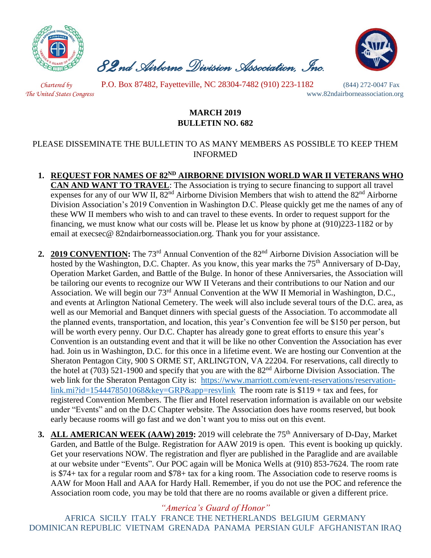

 *82nd Airborne Division Association, Inc.* 



 *Chartered by* P.O. Box 87482, Fayetteville, NC 28304-7482 (910) 223-1182 (844) 272-0047 Fax *The United States Congress* www.82ndairborneassociation.org

## **MARCH 2019 BULLETIN NO. 682**

## PLEASE DISSEMINATE THE BULLETIN TO AS MANY MEMBERS AS POSSIBLE TO KEEP THEM INFORMED

- **1. REQUEST FOR NAMES OF 82ND AIRBORNE DIVISION WORLD WAR II VETERANS WHO CAN AND WANT TO TRAVEL**: The Association is trying to secure financing to support all travel expenses for any of our WW II,  $82<sup>nd</sup>$  Airborne Division Members that wish to attend the  $82<sup>nd</sup>$  Airborne Division Association's 2019 Convention in Washington D.C. Please quickly get me the names of any of these WW II members who wish to and can travel to these events. In order to request support for the financing, we must know what our costs will be. Please let us know by phone at (910)223-1182 or by email at execsec@ 82ndairborneassociation.org. Thank you for your assistance.
- **2. 2019 CONVENTION:** The 73<sup>rd</sup> Annual Convention of the 82<sup>nd</sup> Airborne Division Association will be hosted by the Washington, D.C. Chapter. As you know, this year marks the 75<sup>th</sup> Anniversary of D-Day, Operation Market Garden, and Battle of the Bulge. In honor of these Anniversaries, the Association will be tailoring our events to recognize our WW II Veterans and their contributions to our Nation and our Association. We will begin our 73rd Annual Convention at the WW II Memorial in Washington, D.C., and events at Arlington National Cemetery. The week will also include several tours of the D.C. area, as well as our Memorial and Banquet dinners with special guests of the Association. To accommodate all the planned events, transportation, and location, this year's Convention fee will be \$150 per person, but will be worth every penny. Our D.C. Chapter has already gone to great efforts to ensure this year's Convention is an outstanding event and that it will be like no other Convention the Association has ever had. Join us in Washington, D.C. for this once in a lifetime event. We are hosting our Convention at the Sheraton Pentagon City, 900 S ORME ST, ARLINGTON, VA 22204. For reservations, call directly to the hotel at (703) 521-1900 and specify that you are with the  $82<sup>nd</sup>$  Airborne Division Association. The web link for the Sheraton Pentagon City is: [https://www.marriott.com/event-reservations/reservation](https://www.marriott.com/event-reservations/reservation-link.mi?id=1544478501068&key=GRP&app=resvlink)[link.mi?id=1544478501068&key=GRP&app=resvlink](https://www.marriott.com/event-reservations/reservation-link.mi?id=1544478501068&key=GRP&app=resvlink) The room rate is  $$119 + tax$  and fees, for registered Convention Members. The flier and Hotel reservation information is available on our website under "Events" and on the D.C Chapter website. The Association does have rooms reserved, but book early because rooms will go fast and we don't want you to miss out on this event.
- **3. ALL AMERICAN WEEK (AAW) 2019:** 2019 will celebrate the 75<sup>th</sup> Anniversary of D-Day, Market Garden, and Battle of the Bulge. Registration for AAW 2019 is open. This event is booking up quickly. Get your reservations NOW. The registration and flyer are published in the Paraglide and are available at our website under "Events". Our POC again will be Monica Wells at (910) 853-7624. The room rate is \$74+ tax for a regular room and \$78+ tax for a king room. The Association code to reserve rooms is AAW for Moon Hall and AAA for Hardy Hall. Remember, if you do not use the POC and reference the Association room code, you may be told that there are no rooms available or given a different price.

*"America's Guard of Honor"*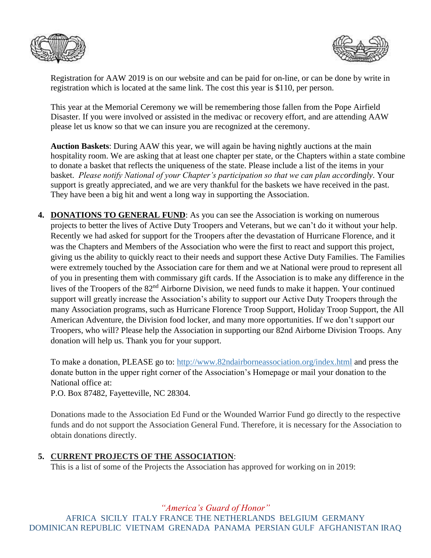



Registration for AAW 2019 is on our website and can be paid for on-line, or can be done by write in registration which is located at the same link. The cost this year is \$110, per person.

This year at the Memorial Ceremony we will be remembering those fallen from the Pope Airfield Disaster. If you were involved or assisted in the medivac or recovery effort, and are attending AAW please let us know so that we can insure you are recognized at the ceremony.

**Auction Baskets**: During AAW this year, we will again be having nightly auctions at the main hospitality room. We are asking that at least one chapter per state, or the Chapters within a state combine to donate a basket that reflects the uniqueness of the state. Please include a list of the items in your basket. *Please notify National of your Chapter's participation so that we can plan accordingly*. Your support is greatly appreciated, and we are very thankful for the baskets we have received in the past. They have been a big hit and went a long way in supporting the Association.

**4. DONATIONS TO GENERAL FUND**: As you can see the Association is working on numerous projects to better the lives of Active Duty Troopers and Veterans, but we can't do it without your help. Recently we had asked for support for the Troopers after the devastation of Hurricane Florence, and it was the Chapters and Members of the Association who were the first to react and support this project, giving us the ability to quickly react to their needs and support these Active Duty Families. The Families were extremely touched by the Association care for them and we at National were proud to represent all of you in presenting them with commissary gift cards. If the Association is to make any difference in the lives of the Troopers of the 82<sup>nd</sup> Airborne Division, we need funds to make it happen. Your continued support will greatly increase the Association's ability to support our Active Duty Troopers through the many Association programs, such as Hurricane Florence Troop Support, Holiday Troop Support, the All American Adventure, the Division food locker, and many more opportunities. If we don't support our Troopers, who will? Please help the Association in supporting our 82nd Airborne Division Troops. Any donation will help us. Thank you for your support.

To make a donation, PLEASE go to:<http://www.82ndairborneassociation.org/index.html> and press the donate button in the upper right corner of the Association's Homepage or mail your donation to the National office at:

P.O. Box 87482, Fayetteville, NC 28304.

Donations made to the Association Ed Fund or the Wounded Warrior Fund go directly to the respective funds and do not support the Association General Fund. Therefore, it is necessary for the Association to obtain donations directly.

## **5. CURRENT PROJECTS OF THE ASSOCIATION**:

This is a list of some of the Projects the Association has approved for working on in 2019:

*"America's Guard of Honor"*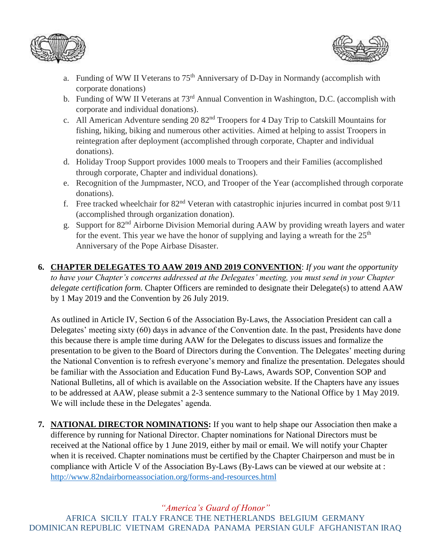



- a. Funding of WW II Veterans to 75<sup>th</sup> Anniversary of D-Day in Normandy (accomplish with corporate donations)
- b. Funding of WW II Veterans at 73<sup>rd</sup> Annual Convention in Washington, D.C. (accomplish with corporate and individual donations).
- c. All American Adventure sending 20 82nd Troopers for 4 Day Trip to Catskill Mountains for fishing, hiking, biking and numerous other activities. Aimed at helping to assist Troopers in reintegration after deployment (accomplished through corporate, Chapter and individual donations).
- d. Holiday Troop Support provides 1000 meals to Troopers and their Families (accomplished through corporate, Chapter and individual donations).
- e. Recognition of the Jumpmaster, NCO, and Trooper of the Year (accomplished through corporate donations).
- f. Free tracked wheelchair for  $82<sup>nd</sup>$  Veteran with catastrophic injuries incurred in combat post  $9/11$ (accomplished through organization donation).
- g. Support for 82nd Airborne Division Memorial during AAW by providing wreath layers and water for the event. This year we have the honor of supplying and laying a wreath for the  $25<sup>th</sup>$ Anniversary of the Pope Airbase Disaster.
- **6. CHAPTER DELEGATES TO AAW 2019 AND 2019 CONVENTION**: *If you want the opportunity to have your Chapter's concerns addressed at the Delegates' meeting, you must send in your Chapter delegate certification form.* Chapter Officers are reminded to designate their Delegate(s) to attend AAW by 1 May 2019 and the Convention by 26 July 2019.

As outlined in Article IV, Section 6 of the Association By-Laws, the Association President can call a Delegates' meeting sixty (60) days in advance of the Convention date. In the past, Presidents have done this because there is ample time during AAW for the Delegates to discuss issues and formalize the presentation to be given to the Board of Directors during the Convention. The Delegates' meeting during the National Convention is to refresh everyone's memory and finalize the presentation. Delegates should be familiar with the Association and Education Fund By-Laws, Awards SOP, Convention SOP and National Bulletins, all of which is available on the Association website. If the Chapters have any issues to be addressed at AAW, please submit a 2-3 sentence summary to the National Office by 1 May 2019. We will include these in the Delegates' agenda.

**7. NATIONAL DIRECTOR NOMINATIONS:** If you want to help shape our Association then make a difference by running for National Director. Chapter nominations for National Directors must be received at the National office by 1 June 2019, either by mail or email. We will notify your Chapter when it is received. Chapter nominations must be certified by the Chapter Chairperson and must be in compliance with Article V of the Association By-Laws (By-Laws can be viewed at our website at : <http://www.82ndairborneassociation.org/forms-and-resources.html>

*"America's Guard of Honor"*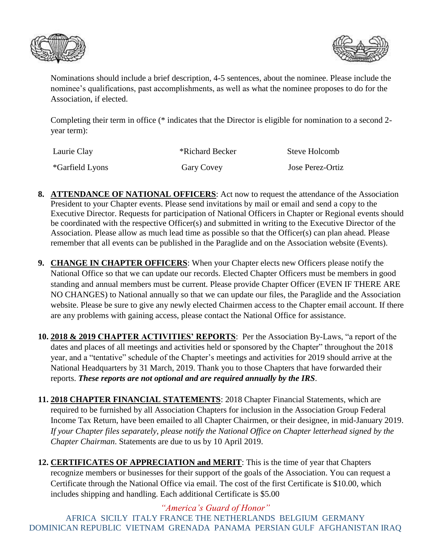



Nominations should include a brief description, 4-5 sentences, about the nominee. Please include the nominee's qualifications, past accomplishments, as well as what the nominee proposes to do for the Association, if elected.

Completing their term in office (\* indicates that the Director is eligible for nomination to a second 2 year term):

| Laurie Clay             | *Richard Becker | Steve Holcomb    |
|-------------------------|-----------------|------------------|
| <i>*</i> Garfield Lyons | Gary Covey      | Jose Perez-Ortiz |

- **8. ATTENDANCE OF NATIONAL OFFICERS**: Act now to request the attendance of the Association President to your Chapter events. Please send invitations by mail or email and send a copy to the Executive Director. Requests for participation of National Officers in Chapter or Regional events should be coordinated with the respective Officer(s) and submitted in writing to the Executive Director of the Association. Please allow as much lead time as possible so that the Officer(s) can plan ahead. Please remember that all events can be published in the Paraglide and on the Association website (Events).
- **9. CHANGE IN CHAPTER OFFICERS**: When your Chapter elects new Officers please notify the National Office so that we can update our records. Elected Chapter Officers must be members in good standing and annual members must be current. Please provide Chapter Officer (EVEN IF THERE ARE NO CHANGES) to National annually so that we can update our files, the Paraglide and the Association website. Please be sure to give any newly elected Chairmen access to the Chapter email account. If there are any problems with gaining access, please contact the National Office for assistance.
- **10. 2018 & 2019 CHAPTER ACTIVITIES' REPORTS**: Per the Association By-Laws, "a report of the dates and places of all meetings and activities held or sponsored by the Chapter" throughout the 2018 year, and a "tentative" schedule of the Chapter's meetings and activities for 2019 should arrive at the National Headquarters by 31 March, 2019. Thank you to those Chapters that have forwarded their reports. *These reports are not optional and are required annually by the IRS.*
- **11. 2018 CHAPTER FINANCIAL STATEMENTS**: 2018 Chapter Financial Statements, which are required to be furnished by all Association Chapters for inclusion in the Association Group Federal Income Tax Return, have been emailed to all Chapter Chairmen, or their designee, in mid-January 2019. *If your Chapter files separately, please notify the National Office on Chapter letterhead signed by the Chapter Chairman*. Statements are due to us by 10 April 2019.
- **12. CERTIFICATES OF APPRECIATION and MERIT**: This is the time of year that Chapters recognize members or businesses for their support of the goals of the Association. You can request a Certificate through the National Office via email. The cost of the first Certificate is \$10.00, which includes shipping and handling. Each additional Certificate is \$5.00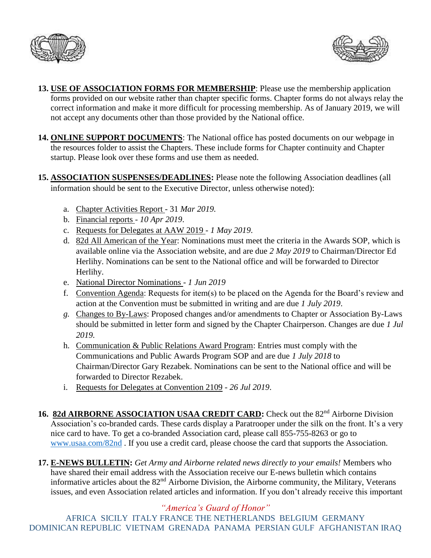



- **13. USE OF ASSOCIATION FORMS FOR MEMBERSHIP**: Please use the membership application forms provided on our website rather than chapter specific forms. Chapter forms do not always relay the correct information and make it more difficult for processing membership. As of January 2019, we will not accept any documents other than those provided by the National office.
- **14. ONLINE SUPPORT DOCUMENTS**: The National office has posted documents on our webpage in the resources folder to assist the Chapters. These include forms for Chapter continuity and Chapter startup. Please look over these forms and use them as needed.
- **15. ASSOCIATION SUSPENSES/DEADLINES:** Please note the following Association deadlines (all information should be sent to the Executive Director, unless otherwise noted):
	- a. Chapter Activities Report 31 *Mar 2019.*
	- b. Financial reports *10 Apr 2019*.
	- c. Requests for Delegates at AAW 2019 *1 May 2019*.
	- d. 82d All American of the Year: Nominations must meet the criteria in the Awards SOP, which is available online via the Association website, and are due *2 May 2019* to Chairman/Director Ed Herlihy. Nominations can be sent to the National office and will be forwarded to Director Herlihy.
	- e. National Director Nominations *1 Jun 2019*
	- f. Convention Agenda: Requests for item(s) to be placed on the Agenda for the Board's review and action at the Convention must be submitted in writing and are due *1 July 2019*.
	- *g.* Changes to By-Laws: Proposed changes and/or amendments to Chapter or Association By-Laws should be submitted in letter form and signed by the Chapter Chairperson. Changes are due *1 Jul 2019.*
	- h. Communication & Public Relations Award Program: Entries must comply with the Communications and Public Awards Program SOP and are due *1 July 2018* to Chairman/Director Gary Rezabek. Nominations can be sent to the National office and will be forwarded to Director Rezabek.
	- i. Requests for Delegates at Convention 2109 *26 Jul 2019*.
- 16. 82d AIRBORNE ASSOCIATION USAA CREDIT CARD: Check out the 82<sup>nd</sup> Airborne Division Association's co-branded cards. These cards display a Paratrooper under the silk on the front. It's a very nice card to have. To get a co-branded Association card, please call 855-755-8263 or go to [www.usaa.com/82nd](http://www.usaa.com/82nd) . If you use a credit card, please choose the card that supports the Association.
- **17. E-NEWS BULLETIN:** *Get Army and Airborne related news directly to your emails!* Members who have shared their email address with the Association receive our E-news bulletin which contains informative articles about the 82nd Airborne Division, the Airborne community, the Military, Veterans issues, and even Association related articles and information. If you don't already receive this important

*"America's Guard of Honor"*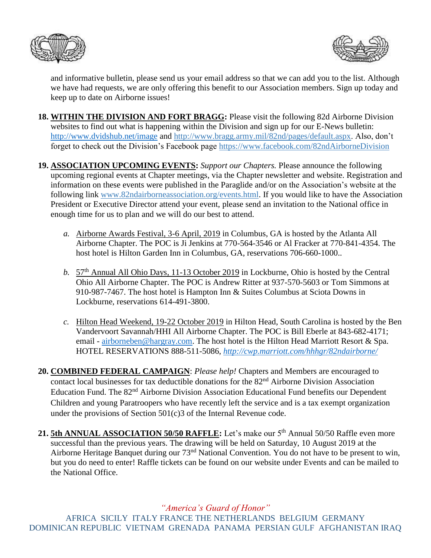



and informative bulletin, please send us your email address so that we can add you to the list. Although we have had requests, we are only offering this benefit to our Association members. Sign up today and keep up to date on Airborne issues!

- **18. WITHIN THE DIVISION AND FORT BRAGG:** Please visit the following 82d Airborne Division websites to find out what is happening within the Division and sign up for our E-News bulletin: <http://www.dvidshub.net/image> and [http://www.bragg.army.mil/82nd/pages/default.aspx.](http://www.bragg.army.mil/82ND/Pages/default.aspx) Also, don't forget to check out the Division's Facebook page<https://www.facebook.com/82ndAirborneDivision>
- **19. ASSOCIATION UPCOMING EVENTS:** *Support our Chapters.* Please announce the following upcoming regional events at Chapter meetings, via the Chapter newsletter and website. Registration and information on these events were published in the Paraglide and/or on the Association's website at the following link [www.82ndairborneassociation.org/events.html.](http://www.82ndairborneassociation.org/events.html) If you would like to have the Association President or Executive Director attend your event, please send an invitation to the National office in enough time for us to plan and we will do our best to attend.
	- *a.* Airborne Awards Festival, 3-6 April, 2019 in Columbus, GA is hosted by the Atlanta All Airborne Chapter. The POC is Ji Jenkins at 770-564-3546 or Al Fracker at 770-841-4354. The host hotel is Hilton Garden Inn in Columbus, GA, reservations 706-660-1000..
	- *b.* 57th Annual All Ohio Days, 11-13 October 2019 in Lockburne, Ohio is hosted by the Central Ohio All Airborne Chapter. The POC is Andrew Ritter at 937-570-5603 or Tom Simmons at 910-987-7467. The host hotel is Hampton Inn & Suites Columbus at Sciota Downs in Lockburne, reservations 614-491-3800.
	- *c.* Hilton Head Weekend, 19-22 October 2019 in Hilton Head, South Carolina is hosted by the Ben Vandervoort Savannah/HHI All Airborne Chapter. The POC is Bill Eberle at 843-682-4171; email - [airborneben@hargray.com.](mailto:airborneben@hargray.com) The host hotel is the Hilton Head Marriott Resort & Spa. HOTEL RESERVATIONS 888-511-5086, *<http://cwp.marriott.com/hhhgr/82ndairborne/>*

**20. COMBINED FEDERAL CAMPAIGN**: *Please help!* Chapters and Members are encouraged to contact local businesses for tax deductible donations for the 82<sup>nd</sup> Airborne Division Association Education Fund. The 82<sup>nd</sup> Airborne Division Association Educational Fund benefits our Dependent Children and young Paratroopers who have recently left the service and is a tax exempt organization under the provisions of Section 501(c)3 of the Internal Revenue code.

21. 5th ANNUAL ASSOCIATION 50/50 RAFFLE: Let's make our 5<sup>th</sup> Annual 50/50 Raffle even more successful than the previous years. The drawing will be held on Saturday, 10 August 2019 at the Airborne Heritage Banquet during our 73<sup>nd</sup> National Convention. You do not have to be present to win, but you do need to enter! Raffle tickets can be found on our website under Events and can be mailed to the National Office.